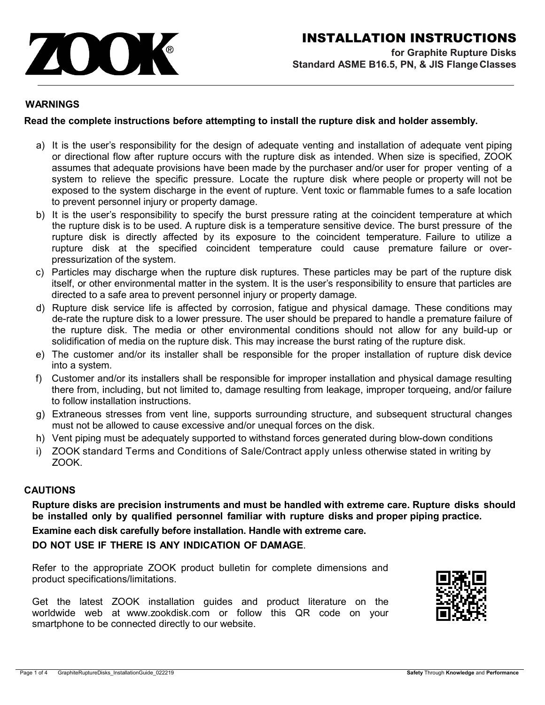

## **WARNINGS**

## **Read the complete instructions before attempting to install the rupture disk and holder assembly.**

- a) It is the user's responsibility for the design of adequate venting and installation of adequate vent piping or directional flow after rupture occurs with the rupture disk as intended. When size is specified, ZOOK assumes that adequate provisions have been made by the purchaser and/or user for proper venting of a system to relieve the specific pressure. Locate the rupture disk where people or property will not be exposed to the system discharge in the event of rupture. Vent toxic or flammable fumes to a safe location to prevent personnel injury or property damage.
- b) It is the user's responsibility to specify the burst pressure rating at the coincident temperature at which the rupture disk is to be used. A rupture disk is a temperature sensitive device. The burst pressure of the rupture disk is directly affected by its exposure to the coincident temperature. Failure to utilize a rupture disk at the specified coincident temperature could cause premature failure or overpressurization of the system.
- c) Particles may discharge when the rupture disk ruptures. These particles may be part of the rupture disk itself, or other environmental matter in the system. It is the user's responsibility to ensure that particles are directed to a safe area to prevent personnel injury or property damage.
- d) Rupture disk service life is affected by corrosion, fatigue and physical damage. These conditions may de-rate the rupture disk to a lower pressure. The user should be prepared to handle a premature failure of the rupture disk. The media or other environmental conditions should not allow for any build-up or solidification of media on the rupture disk. This may increase the burst rating of the rupture disk.
- e) The customer and/or its installer shall be responsible for the proper installation of rupture disk device into a system.
- f) Customer and/or its installers shall be responsible for improper installation and physical damage resulting there from, including, but not limited to, damage resulting from leakage, improper torqueing, and/or failure to follow installation instructions.
- g) Extraneous stresses from vent line, supports surrounding structure, and subsequent structural changes must not be allowed to cause excessive and/or unequal forces on the disk.
- h) Vent piping must be adequately supported to withstand forces generated during blow-down conditions
- i) ZOOK standard Terms and Conditions of Sale/Contract apply unless otherwise stated in writing by ZOOK.

# **CAUTIONS**

**Rupture disks are precision instruments and must be handled with extreme care. Rupture disks should be installed only by qualified personnel familiar with rupture disks and proper piping practice.**

**Examine each disk carefully before installation. Handle with extreme care.**

**DO NOT USE IF THERE IS ANY INDICATION OF DAMAGE**.

Refer to the appropriate ZOOK product bulletin for complete dimensions and product specifications/limitations.

Get the latest ZOOK installation guides and product literature on the worldwide web at www.zookdisk.com or follow this QR code on your smartphone to be connected directly to our website.

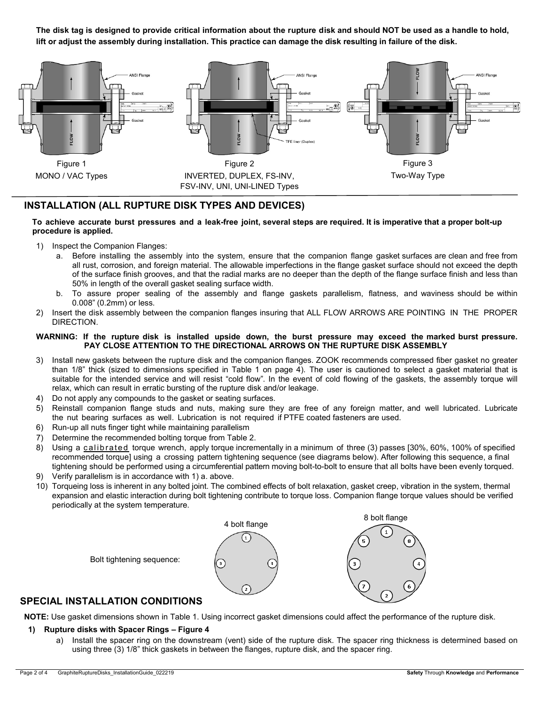**The disk tag is designed to provide critical information about the rupture disk and should NOT be used as a handle to hold, lift or adjust the assembly during installation. This practice can damage the disk resulting in failure of the disk.**



## **INSTALLATION (ALL RUPTURE DISK TYPES AND DEVICES)**

#### To achieve accurate burst pressures and a leak-free joint, several steps are required. It is imperative that a proper bolt-up **procedure is applied.**

- 1) Inspect the Companion Flanges:
	- a. Before installing the assembly into the system, ensure that the companion flange gasket surfaces are clean and free from all rust, corrosion, and foreign material. The allowable imperfections in the flange gasket surface should not exceed the depth of the surface finish grooves, and that the radial marks are no deeper than the depth of the flange surface finish and less than 50% in length of the overall gasket sealing surface width.
	- b. To assure proper sealing of the assembly and flange gaskets parallelism, flatness, and waviness should be within 0.008" (0.2mm) or less.
- 2) Insert the disk assembly between the companion flanges insuring that ALL FLOW ARROWS ARE POINTING IN THE PROPER DIRECTION.

#### **WARNING: If the rupture disk is installed upside down, the burst pressure may exceed the marked burst pressure. PAY CLOSE ATTENTION TO THE DIRECTIONAL ARROWS ON THE RUPTURE DISK ASSEMBLY**

- 3) Install new gaskets between the rupture disk and the companion flanges. ZOOK recommends compressed fiber gasket no greater than 1/8" thick (sized to dimensions specified in Table 1 on page 4). The user is cautioned to select a gasket material that is suitable for the intended service and will resist "cold flow". In the event of cold flowing of the gaskets, the assembly torque will relax, which can result in erratic bursting of the rupture disk and/or leakage.
- 4) Do not apply any compounds to the gasket or seating surfaces.
- 5) Reinstall companion flange studs and nuts, making sure they are free of any foreign matter, and well lubricated. Lubricate the nut bearing surfaces as well. Lubrication is not required if PTFE coated fasteners are used.
- 6) Run-up all nuts finger tight while maintaining parallelism
- 7) Determine the recommended bolting torque from Table 2.
- 8) Using a calibrated torque wrench, apply torque incrementally in a minimum of three (3) passes [30%, 60%, 100% of specified recommended torque] using a crossing pattern tightening sequence (see diagrams below). After following this sequence, a final tightening should be performed using a circumferential pattern moving bolt-to-bolt to ensure that all bolts have been evenly torqued.
- 9) Verify parallelism is in accordance with 1) a. above.
- 10) Torqueing loss is inherent in any bolted joint. The combined effects of bolt relaxation, gasket creep, vibration in the system, thermal expansion and elastic interaction during bolt tightening contribute to torque loss. Companion flange torque values should be verified periodically at the system temperature.



## **SPECIAL INSTALLATION CONDITIONS**

**NOTE:** Use gasket dimensions shown in Table 1. Using incorrect gasket dimensions could affect the performance of the rupture disk.

#### **1) Rupture disks with Spacer Rings – Figure 4**

a) Install the spacer ring on the downstream (vent) side of the rupture disk. The spacer ring thickness is determined based on using three (3) 1/8" thick gaskets in between the flanges, rupture disk, and the spacer ring.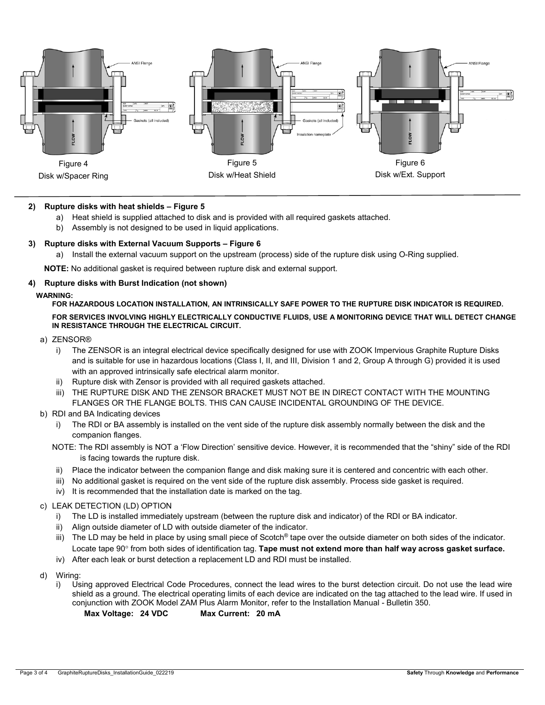

### **2) Rupture disks with heat shields – Figure 5**

- a) Heat shield is supplied attached to disk and is provided with all required gaskets attached.
- b) Assembly is not designed to be used in liquid applications.

### **3) Rupture disks with External Vacuum Supports – Figure 6**

a) Install the external vacuum support on the upstream (process) side of the rupture disk using O-Ring supplied.

**NOTE:** No additional gasket is required between rupture disk and external support.

### **4) Rupture disks with Burst Indication (not shown)**

#### **WARNING:**

# **FOR HAZARDOUS LOCATION INSTALLATION, AN INTRINSICALLY SAFE POWER TO THE RUPTURE DISK INDICATOR IS REQUIRED.**

**FOR SERVICES INVOLVING HIGHLY ELECTRICALLY CONDUCTIVE FLUIDS, USE A MONITORING DEVICE THAT WILL DETECT CHANGE IN RESISTANCE THROUGH THE ELECTRICAL CIRCUIT.**

#### a) ZENSOR®

- i) The ZENSOR is an integral electrical device specifically designed for use with ZOOK Impervious Graphite Rupture Disks and is suitable for use in hazardous locations (Class I, II, and III, Division 1 and 2, Group A through G) provided it is used with an approved intrinsically safe electrical alarm monitor.
- ii) Rupture disk with Zensor is provided with all required gaskets attached.
- iii) THE RUPTURE DISK AND THE ZENSOR BRACKET MUST NOT BE IN DIRECT CONTACT WITH THE MOUNTING FLANGES OR THE FLANGE BOLTS. THIS CAN CAUSE INCIDENTAL GROUNDING OF THE DEVICE.
- b) RDI and BA Indicating devices
	- i) The RDI or BA assembly is installed on the vent side of the rupture disk assembly normally between the disk and the companion flanges.
	- NOTE: The RDI assembly is NOT a 'Flow Direction' sensitive device. However, it is recommended that the "shiny" side of the RDI is facing towards the rupture disk.
	- ii) Place the indicator between the companion flange and disk making sure it is centered and concentric with each other.
	- iii) No additional gasket is required on the vent side of the rupture disk assembly. Process side gasket is required.
	- iv) It is recommended that the installation date is marked on the tag.

### c) LEAK DETECTION (LD) OPTION

- i) The LD is installed immediately upstream (between the rupture disk and indicator) of the RDI or BA indicator.
- ii) Align outside diameter of LD with outside diameter of the indicator.
- iii) The LD may be held in place by using small piece of Scotch<sup>®</sup> tape over the outside diameter on both sides of the indicator. Locate tape 90° from both sides of identification tag. **Tape must not extend more than half way across gasket surface.**
- iv) After each leak or burst detection a replacement LD and RDI must be installed.
- d) Wiring:
	- i) Using approved Electrical Code Procedures, connect the lead wires to the burst detection circuit. Do not use the lead wire shield as a ground. The electrical operating limits of each device are indicated on the tag attached to the lead wire. If used in conjunction with ZOOK Model ZAM Plus Alarm Monitor, refer to the Installation Manual - Bulletin 350.

**Max Voltage: 24 VDC Max Current: 20 mA**